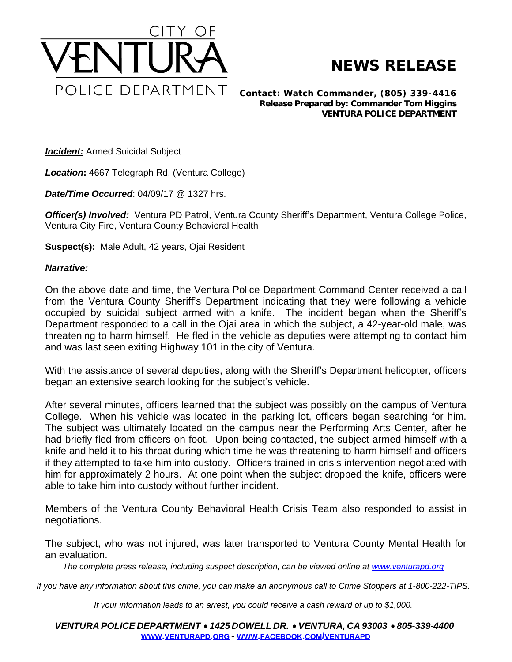

## **NEWS RELEASE**

*Contact: Watch Commander, (805) 339-4416 Release Prepared by: Commander Tom Higgins* **VENTURA POLICE DEPARTMENT**

**Incident:** Armed Suicidal Subject

*Location***:** 4667 Telegraph Rd. (Ventura College)

*Date/Time Occurred: 04/09/17 @ 1327 hrs.* 

**Officer(s) Involved:** Ventura PD Patrol, Ventura County Sheriff's Department, Ventura College Police, Ventura City Fire, Ventura County Behavioral Health

**Suspect(s):** Male Adult, 42 years, Ojai Resident

## *Narrative:*

On the above date and time, the Ventura Police Department Command Center received a call from the Ventura County Sheriff's Department indicating that they were following a vehicle occupied by suicidal subject armed with a knife. The incident began when the Sheriff's Department responded to a call in the Ojai area in which the subject, a 42-year-old male, was threatening to harm himself. He fled in the vehicle as deputies were attempting to contact him and was last seen exiting Highway 101 in the city of Ventura.

With the assistance of several deputies, along with the Sheriff's Department helicopter, officers began an extensive search looking for the subject's vehicle.

After several minutes, officers learned that the subject was possibly on the campus of Ventura College. When his vehicle was located in the parking lot, officers began searching for him. The subject was ultimately located on the campus near the Performing Arts Center, after he had briefly fled from officers on foot. Upon being contacted, the subject armed himself with a knife and held it to his throat during which time he was threatening to harm himself and officers if they attempted to take him into custody. Officers trained in crisis intervention negotiated with him for approximately 2 hours. At one point when the subject dropped the knife, officers were able to take him into custody without further incident.

Members of the Ventura County Behavioral Health Crisis Team also responded to assist in negotiations.

The subject, who was not injured, was later transported to Ventura County Mental Health for an evaluation.

The complete press release, including suspect description, can be viewed online at [www.venturapd.org](http://www.venturapd.org)

*If you have any information about this crime, you can make an anonymous call to Crime Stoppers at 1-800-222-TIPS.*

*If your information leads to an arrest, you could receive a cash reward of up to \$1,000.*

*VENTURA POLICE DEPARTMENT* · *1425 DOWELL DR.* · *VENTURA, CA 93003* · *805-339-4400* **WWW.[VENTURAPD](http://www.venturapd.org).ORG** *-* **WWW.FACEBOOK.COM/[VENTURAPD](http://www.facebook.com/venturapd)**